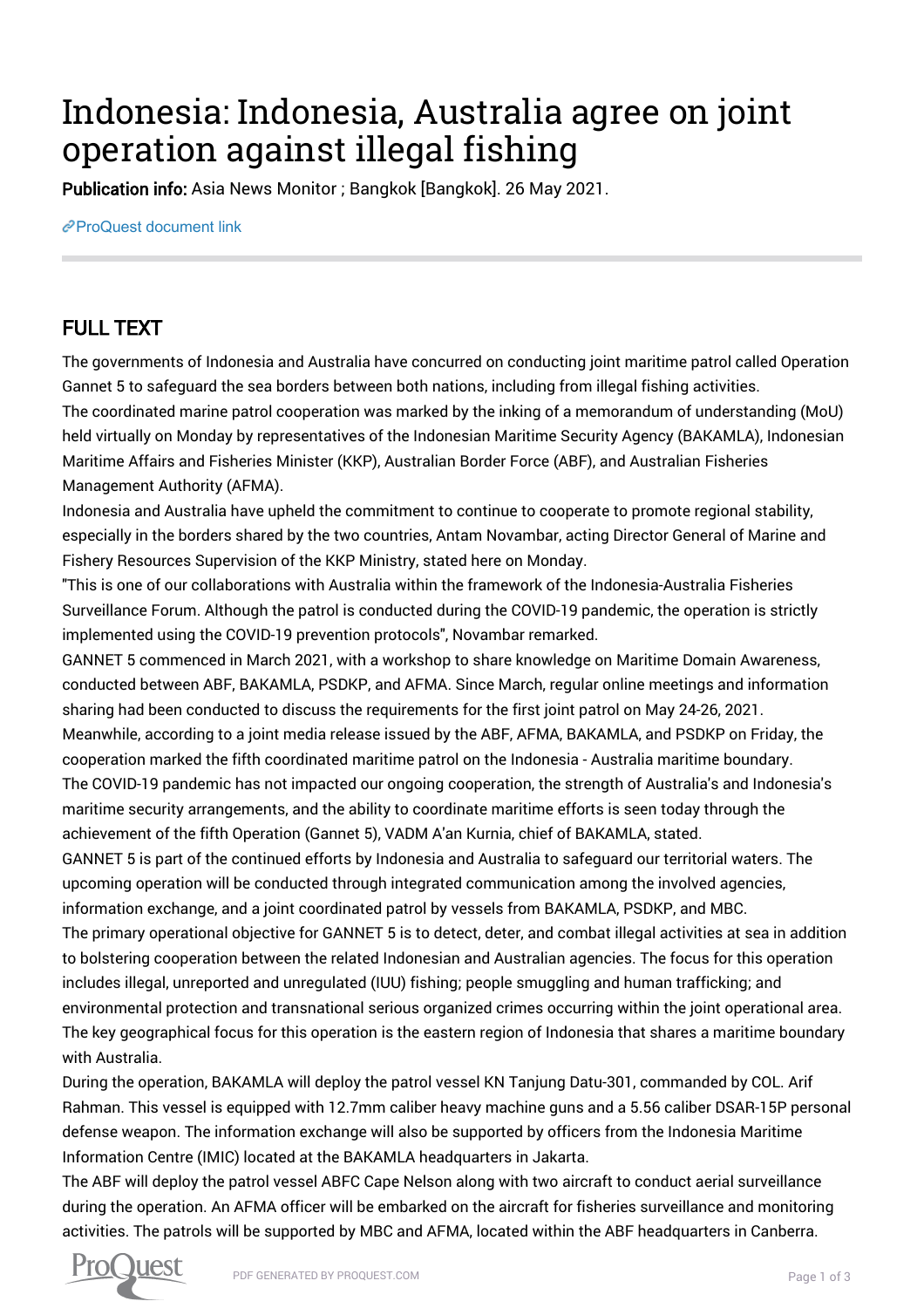## Indonesia: Indonesia, Australia agree on joint operation against illegal fishing

Publication info: Asia News Monitor ; Bangkok [Bangkok]. 26 May 2021.

[ProQuest document link](http://132.174.250.227/newspapers/indonesia-australia-agree-on-joint-operation/docview/2531555511/se-2?accountid=8394)

## FULL TEXT

The governments of Indonesia and Australia have concurred on conducting joint maritime patrol called Operation Gannet 5 to safeguard the sea borders between both nations, including from illegal fishing activities. The coordinated marine patrol cooperation was marked by the inking of a memorandum of understanding (MoU) held virtually on Monday by representatives of the Indonesian Maritime Security Agency (BAKAMLA), Indonesian Maritime Affairs and Fisheries Minister (KKP), Australian Border Force (ABF), and Australian Fisheries Management Authority (AFMA).

Indonesia and Australia have upheld the commitment to continue to cooperate to promote regional stability, especially in the borders shared by the two countries, Antam Novambar, acting Director General of Marine and Fishery Resources Supervision of the KKP Ministry, stated here on Monday.

"This is one of our collaborations with Australia within the framework of the Indonesia-Australia Fisheries Surveillance Forum. Although the patrol is conducted during the COVID-19 pandemic, the operation is strictly implemented using the COVID-19 prevention protocols", Novambar remarked.

GANNET 5 commenced in March 2021, with a workshop to share knowledge on Maritime Domain Awareness, conducted between ABF, BAKAMLA, PSDKP, and AFMA. Since March, regular online meetings and information sharing had been conducted to discuss the requirements for the first joint patrol on May 24-26, 2021. Meanwhile, according to a joint media release issued by the ABF, AFMA, BAKAMLA, and PSDKP on Friday, the cooperation marked the fifth coordinated maritime patrol on the Indonesia - Australia maritime boundary. The COVID-19 pandemic has not impacted our ongoing cooperation, the strength of Australia's and Indonesia's maritime security arrangements, and the ability to coordinate maritime efforts is seen today through the achievement of the fifth Operation (Gannet 5), VADM A'an Kurnia, chief of BAKAMLA, stated. GANNET 5 is part of the continued efforts by Indonesia and Australia to safeguard our territorial waters. The upcoming operation will be conducted through integrated communication among the involved agencies, information exchange, and a joint coordinated patrol by vessels from BAKAMLA, PSDKP, and MBC. The primary operational objective for GANNET 5 is to detect, deter, and combat illegal activities at sea in addition to bolstering cooperation between the related Indonesian and Australian agencies. The focus for this operation includes illegal, unreported and unregulated (IUU) fishing; people smuggling and human trafficking; and environmental protection and transnational serious organized crimes occurring within the joint operational area. The key geographical focus for this operation is the eastern region of Indonesia that shares a maritime boundary with Australia.

During the operation, BAKAMLA will deploy the patrol vessel KN Tanjung Datu-301, commanded by COL. Arif Rahman. This vessel is equipped with 12.7mm caliber heavy machine guns and a 5.56 caliber DSAR-15P personal defense weapon. The information exchange will also be supported by officers from the Indonesia Maritime Information Centre (IMIC) located at the BAKAMLA headquarters in Jakarta.

The ABF will deploy the patrol vessel ABFC Cape Nelson along with two aircraft to conduct aerial surveillance during the operation. An AFMA officer will be embarked on the aircraft for fisheries surveillance and monitoring activities. The patrols will be supported by MBC and AFMA, located within the ABF headquarters in Canberra.

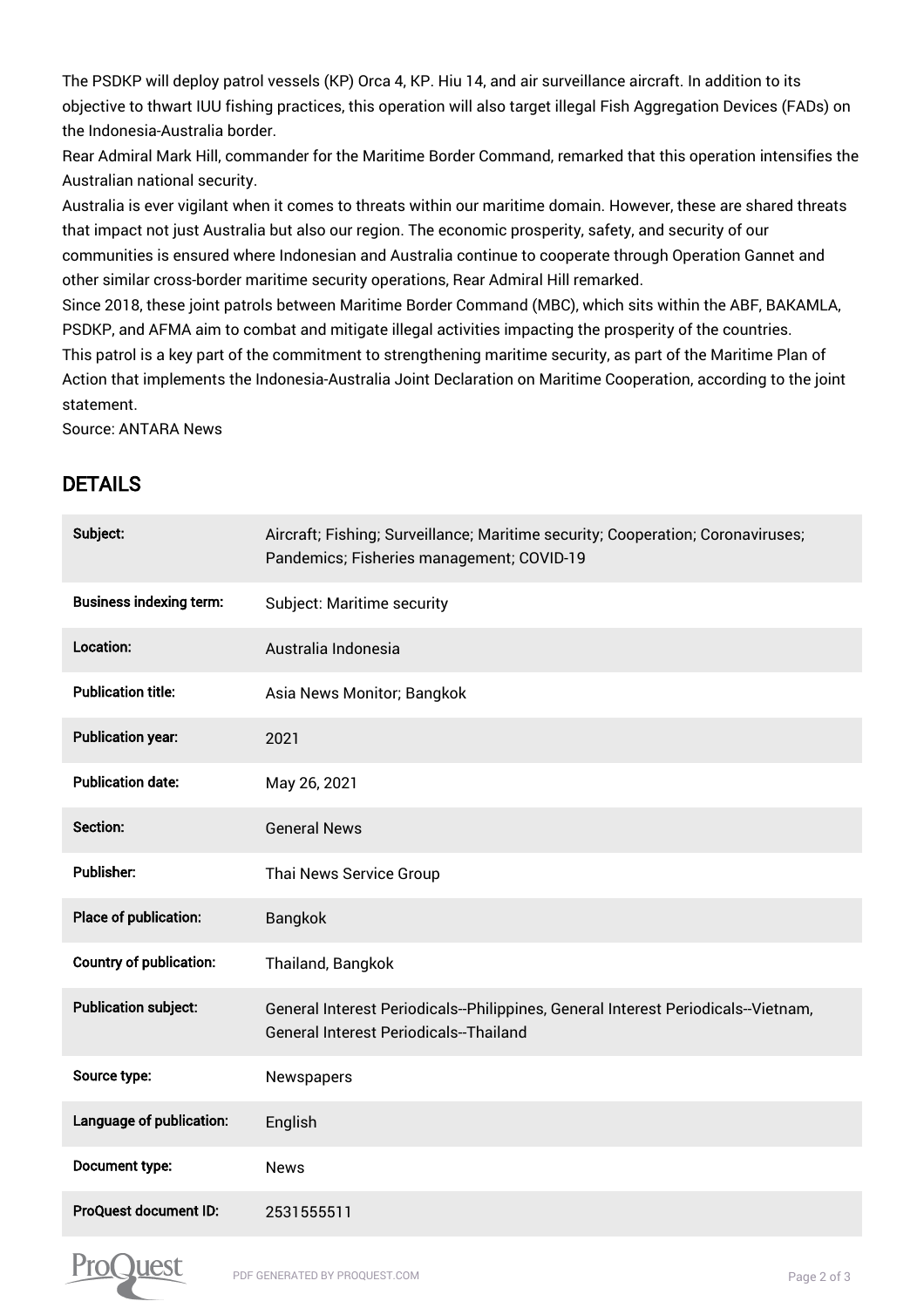The PSDKP will deploy patrol vessels (KP) Orca 4, KP. Hiu 14, and air surveillance aircraft. In addition to its objective to thwart IUU fishing practices, this operation will also target illegal Fish Aggregation Devices (FADs) on the Indonesia-Australia border.

Rear Admiral Mark Hill, commander for the Maritime Border Command, remarked that this operation intensifies the Australian national security.

Australia is ever vigilant when it comes to threats within our maritime domain. However, these are shared threats that impact not just Australia but also our region. The economic prosperity, safety, and security of our communities is ensured where Indonesian and Australia continue to cooperate through Operation Gannet and other similar cross-border maritime security operations, Rear Admiral Hill remarked.

Since 2018, these joint patrols between Maritime Border Command (MBC), which sits within the ABF, BAKAMLA, PSDKP, and AFMA aim to combat and mitigate illegal activities impacting the prosperity of the countries. This patrol is a key part of the commitment to strengthening maritime security, as part of the Maritime Plan of Action that implements the Indonesia-Australia Joint Declaration on Maritime Cooperation, according to the joint statement.

Source: ANTARA News

## DETAILS

| Subject:                       | Aircraft; Fishing; Surveillance; Maritime security; Cooperation; Coronaviruses;<br>Pandemics; Fisheries management; COVID-19 |
|--------------------------------|------------------------------------------------------------------------------------------------------------------------------|
| <b>Business indexing term:</b> | Subject: Maritime security                                                                                                   |
| Location:                      | Australia Indonesia                                                                                                          |
| <b>Publication title:</b>      | Asia News Monitor; Bangkok                                                                                                   |
| <b>Publication year:</b>       | 2021                                                                                                                         |
| <b>Publication date:</b>       | May 26, 2021                                                                                                                 |
| Section:                       | <b>General News</b>                                                                                                          |
| <b>Publisher:</b>              | Thai News Service Group                                                                                                      |
| Place of publication:          | <b>Bangkok</b>                                                                                                               |
| <b>Country of publication:</b> | Thailand, Bangkok                                                                                                            |
| <b>Publication subject:</b>    | General Interest Periodicals--Philippines, General Interest Periodicals--Vietnam,<br>General Interest Periodicals--Thailand  |
| Source type:                   | Newspapers                                                                                                                   |
| Language of publication:       | English                                                                                                                      |
| Document type:                 | <b>News</b>                                                                                                                  |
| <b>ProQuest document ID:</b>   | 2531555511                                                                                                                   |